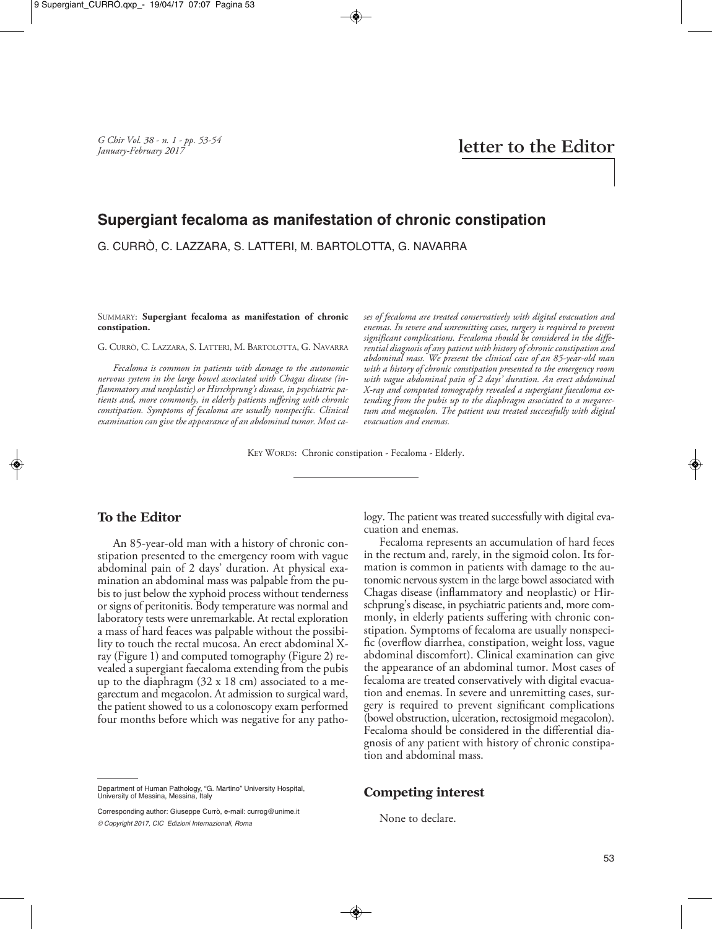*G Chir Vol. 38 - n. 1 - pp. 53-54 January-February 2017*

## **Supergiant fecaloma as manifestation of chronic constipation**

G. CURRÒ, C. LAZZARA, S. LATTERI, M. BARTOLOTTA, G. NAVARRA

#### SUMMARY: **Supergiant fecaloma as manifestation of chronic constipation.**

G. CURRÒ, C. LAZZARA, S. LATTERI, M. BARTOLOTTA, G. NAVARRA

*Fecaloma is common in patients with damage to the autonomic nervous system in the large bowel associated with Chagas disease (inflammatory and neoplastic) or Hirschprung's disease, in psychiatric patients and, more commonly, in elderly patients suffering with chronic constipation. Symptoms of fecaloma are usually nonspecific. Clinical examination can give the appearance of an abdominal tumor. Most ca-* *ses of fecaloma are treated conservatively with digital evacuation and enemas. In severe and unremitting cases, surgery is required to prevent significant complications. Fecaloma should be considered in the differential diagnosis of any patient with history of chronic constipation and abdominal mass. We present the clinical case of an 85-year-old man with a history of chronic constipation presented to the emergency room with vague abdominal pain of 2 days' duration. An erect abdominal X-ray and computed tomography revealed a supergiant faecaloma extending from the pubis up to the diaphragm associated to a megarectum and megacolon. The patient was treated successfully with digital evacuation and enemas.*

KEY WORDS: Chronic constipation - Fecaloma - Elderly.

## **To the Editor**

An 85-year-old man with a history of chronic constipation presented to the emergency room with vague abdominal pain of 2 days' duration. At physical examination an abdominal mass was palpable from the pubis to just below the xyphoid process without tenderness or signs of peritonitis. Body temperature was normal and laboratory tests were unremarkable. At rectal exploration a mass of hard feaces was palpable without the possibility to touch the rectal mucosa. An erect abdominal Xray (Figure 1) and computed tomography (Figure 2) revealed a supergiant faecaloma extending from the pubis up to the diaphragm (32 x 18 cm) associated to a megarectum and megacolon. At admission to surgical ward, the patient showed to us a colonoscopy exam performed four months before which was negative for any pathology. The patient was treated successfully with digital evacuation and enemas.

Fecaloma represents an accumulation of hard feces in the rectum and, rarely, in the sigmoid colon. Its formation is common in patients with damage to the autonomic nervous system in the large bowel associated with Chagas disease (inflammatory and neoplastic) or Hirschprung's disease, in psychiatric patients and, more commonly, in elderly patients suffering with chronic constipation. Symptoms of fecaloma are usually nonspecific (overflow diarrhea, constipation, weight loss, vague abdominal discomfort). Clinical examination can give the appearance of an abdominal tumor. Most cases of fecaloma are treated conservatively with digital evacuation and enemas. In severe and unremitting cases, surgery is required to prevent significant complications (bowel obstruction, ulceration, rectosigmoid megacolon). Fecaloma should be considered in the differential diagnosis of any patient with history of chronic constipation and abdominal mass.

Corresponding author: Giuseppe Currò, e-mail: currog@unime.it © Copyright 2017, CIC Edizioni Internazionali, Roma

### **Competing interest**

None to declare.

Department of Human Pathology, "G. Martino" University Hospital, University of Messina, Messina, Italy